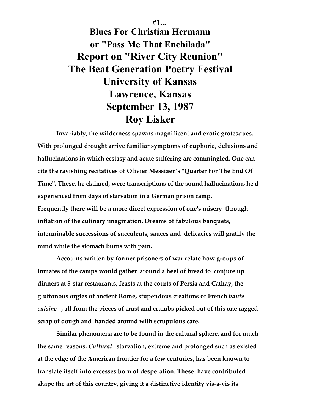**#1... Blues For Christian Hermann or "Pass Me That Enchilada" Report on "River City Reunion" The Beat Generation Poetry Festival University of Kansas Lawrence, Kansas September 13, 1987 Roy Lisker**

**Invariably, the wilderness spawns magnificent and exotic grotesques. With prolonged drought arrive familiar symptoms of euphoria, delusions and hallucinations in which ecstasy and acute suffering are commingled. One can cite the ravishing recitatives of Olivier Messiaen's "Quarter For The End Of Time". These, he claimed, were transcriptions of the sound hallucinations he'd experienced from days of starvation in a German prison camp. Frequently there will be a more direct expression of one's misery through inflation of the culinary imagination. Dreams of fabulous banquets, interminable successions of succulents, sauces and delicacies will gratify the mind while the stomach burns with pain.**

**Accounts written by former prisoners of war relate how groups of inmates of the camps would gather around a heel of bread to conjure up dinners at 5-star restaurants, feasts at the courts of Persia and Cathay, the gluttonous orgies of ancient Rome, stupendous creations of French** *haute cuisine* **, all from the pieces of crust and crumbs picked out of this one ragged scrap of dough and handed around with scrupulous care.**

**Similar phenomena are to be found in the cultural sphere, and for much the same reasons.** *Cultural* **starvation, extreme and prolonged such as existed at the edge of the American frontier for a few centuries, has been known to translate itself into excesses born of desperation. These have contributed shape the art of this country, giving it a distinctive identity vis-a-vis its**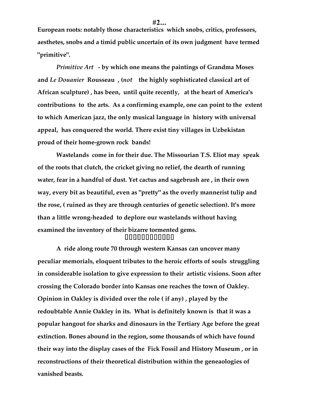**European roots: notably those characteristics which snobs, critics, professors, aesthetes, snobs and a timid public uncertain of its own judgment have termed "primitive".**

*Primitive Art* **- by which one means the paintings of Grandma Moses and** *Le Douanier* **Rousseau , (***not* **the highly sophisticated classical art of African sculpture) , has been, until quite recently, at the heart of America's contributions to the arts. As a confirming example, one can point to the extent to which American jazz, the only musical language in history with universal appeal, has conquered the world. There exist tiny villages in Uzbekistan proud of their home-grown rock bands!**

**Wastelands come in for their due. The Missourian T.S. Eliot may speak of the roots that clutch, the cricket giving no relief, the dearth of running water, fear in a handful of dust. Yet cactus and sagebrush are , in their own way, every bit as beautiful, even as "pretty" as the overly mannerist tulip and the rose, ( ruined as they are through centuries of genetic selection). It's more than a little wrong-headed to deplore our wastelands without having examined the inventory of their bizarre tormented gems.** \*\*\*\*\*\*\*\*\*\*\*\*\*\*\*\*

**A ride along route 70 through western Kansas can uncover many peculiar memorials, eloquent tributes to the heroic efforts of souls struggling in considerable isolation to give expression to their artistic visions. Soon after crossing the Colorado border into Kansas one reaches the town of Oakley. Opinion in Oakley is divided over the role ( if any) , played by the redoubtable Annie Oakley in its. What is definitely known is that it was a popular hangout for sharks and dinosaurs in the Tertiary Age before the great extinction. Bones abound in the region, some thousands of which have found their way into the display cases of the Fick Fossil and History Museum , or in reconstructions of their theoretical distribution within the geneaologies of vanished beasts.**

**#2...**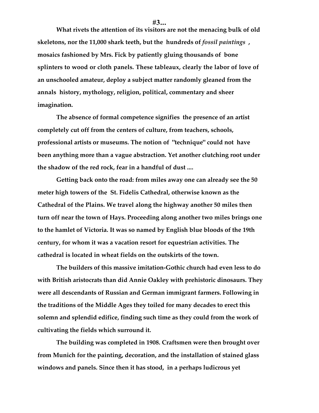**What rivets the attention of its visitors are not the menacing bulk of old skeletons, nor the 11,000 shark teeth, but the hundreds of** *fossil paintings* **, mosaics fashioned by Mrs. Fick by patiently gluing thousands of bone splinters to wood or cloth panels. These tableaux, clearly the labor of love of**

**an unschooled amateur, deploy a subject matter randomly gleaned from the annals history, mythology, religion, political, commentary and sheer imagination.**

**The absence of formal competence signifies the presence of an artist completely cut off from the centers of culture, from teachers, schools, professional artists or museums. The notion of "technique" could not have been anything more than a vague abstraction. Yet another clutching root under the shadow of the red rock, fear in a handful of dust ....**

**Getting back onto the road: from miles away one can already see the 50 meter high towers of the St. Fidelis Cathedral, otherwise known as the Cathedral of the Plains. We travel along the highway another 50 miles then turn off near the town of Hays. Proceeding along another two miles brings one to the hamlet of Victoria. It was so named by English blue bloods of the 19th century, for whom it was a vacation resort for equestrian activities. The cathedral is located in wheat fields on the outskirts of the town.**

**The builders of this massive imitation-Gothic church had even less to do with British aristocrats than did Annie Oakley with prehistoric dinosaurs. They were all descendants of Russian and German immigrant farmers. Following in the traditions of the Middle Ages they toiled for many decades to erect this solemn and splendid edifice, finding such time as they could from the work of cultivating the fields which surround it.**

**The building was completed in 1908. Craftsmen were then brought over from Munich for the painting, decoration, and the installation of stained glass windows and panels. Since then it has stood, in a perhaps ludicrous yet**

**#3...**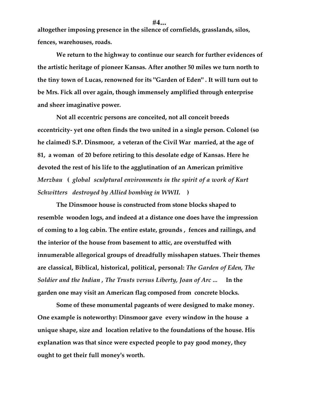**altogether imposing presence in the silence of cornfields, grasslands, silos, fences, warehouses, roads.**

**We return to the highway to continue our search for further evidences of the artistic heritage of pioneer Kansas. After another 50 miles we turn north to the tiny town of Lucas, renowned for its "Garden of Eden" . It will turn out to be Mrs. Fick all over again, though immensely amplified through enterprise and sheer imaginative power.**

**Not all eccentric persons are conceited, not all conceit breeds eccentricity- yet one often finds the two united in a single person. Colonel (so he claimed) S.P. Dinsmoor, a veteran of the Civil War married, at the age of 81, a woman of 20 before retiring to this desolate edge of Kansas. Here he devoted the rest of his life to the agglutination of an American primitive** *Merzbau* **(** *global sculptural environments in the spirit of a work of Kurt Schwitters destroyed by Allied bombing in WWII.* **)**

**The Dinsmoor house is constructed from stone blocks shaped to resemble wooden logs, and indeed at a distance one does have the impression of coming to a log cabin. The entire estate, grounds , fences and railings, and the interior of the house from basement to attic, are overstuffed with innumerable allegorical groups of dreadfully misshapen statues. Their themes are classical, Biblical, historical, political, personal:** *The Garden of Eden, The Soldier and the Indian , The Trusts versus Liberty, Joan of Arc ...* **In the garden one may visit an American flag composed from concrete blocks.**

**Some of these monumental pageants of were designed to make money. One example is noteworthy: Dinsmoor gave every window in the house a unique shape, size and location relative to the foundations of the house. His explanation was that since were expected people to pay good money, they ought to get their full money's worth.**

**#4...**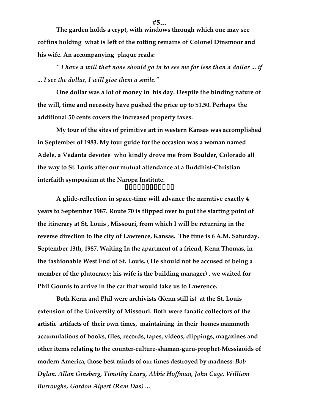**The garden holds a crypt, with windows through which one may see coffins holding what is left of the rotting remains of Colonel Dinsmoor and his wife. An accompanying plaque reads:**

*" I have a will that none should go in to see me for less than a dollar ... if ... I see the dollar, I will give them a smile."*

**One dollar was a lot of money in his day. Despite the binding nature of the will, time and necessity have pushed the price up to \$1.50. Perhaps the additional 50 cents covers the increased property taxes.**

**My tour of the sites of primitive art in western Kansas was accomplished in September of 1983. My tour guide for the occasion was a woman named Adele, a Vedanta devotee who kindly drove me from Boulder, Colorado all the way to St. Louis after our mutual attendance at a Buddhist-Christian interfaith symposium at the Naropa Institute. ftsfeit it it it it it it it it** 

**A glide-reflection in space-time will advance the narrative exactly 4 years to September 1987. Route 70 is flipped over to put the starting point of the itinerary at St. Louis , Missouri, from which I will be returning in the reverse direction to the city of Lawrence, Kansas. The time is 6 A.M. Saturday, September 13th, 1987. Waiting In the apartment of a friend, Kenn Thomas, in the fashionable West End of St. Louis. ( He should not be accused of being a member of the plutocracy; his wife is the building manager) , we waited for Phil Gounis to arrive in the car that would take us to Lawrence.**

**Both Kenn and Phil were archivists (Kenn still is) at the St. Louis extension of the University of Missouri. Both were fanatic collectors of the artistic artifacts of their own times, maintaining in their homes mammoth accumulations of books, files, records, tapes, videos, clippings, magazines and other items relating to the counter-culture-shaman-guru-prophet-Messiaoids of modern America, those best minds of our times destroyed by madness:** *Bob Dylan, Allan Ginsberg, Timothy Leary, Abbie Hoffman, John Cage, William Burroughs, Gordon Alpert (Ram Das) ...*

**#5...**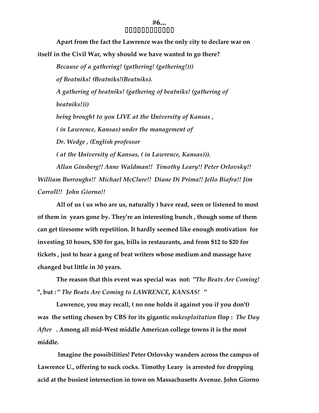#### **#6...** ffeste teste teste teste teste test

**Apart from the fact the Lawrence was the only city to declare war on itself in the Civil War, why should we have wanted to go there?**

*Because of a gathering! (gathering! (gathering!))) of Beatniks! (Beatniks!(Beatniks). A gathering of beatniks! (gathering of beatniks! (gathering of beatniks!))) being brought to you LIVE at the University of Kansas , ( in Lawrence, Kansas) under the management of Dr. Wedge , (English professor ( at the University of Kansas, ( in Lawrence, Kansas))). Allan Ginsberg!! Anne Waldman!! Timothy Leary!! Peter Orlovsky!! William Burroughs!! Michael McClure!! Diane Di Prima!! Jello Biafra!! Jim*

*Carroll!! John Giorno!!*

**All of us ( us who are us, naturally ) have read, seen or listened to most of them in years gone by. They're an interesting bunch , though some of them can get tiresome with repetition. It hardly seemed like enough motivation for investing 10 hours, \$30 for gas, bills in restaurants, and from \$12 to \$20 for tickets , just to hear a gang of beat writers whose medium and massage have changed but little in 30 years.**

**The reason that this event was special was not: "***The Beats Are Coming!* **", but : "** *The Beats Are Coming to LAWRENCE, KANSAS!* **"**

**Lawrence, you may recall, ( no one holds it against you if you don't) was the setting chosen by CBS for its gigantic** *nukesploitation* **flop :** *The Day After* **. Among all mid-West middle American college towns it is the most middle.**

 **Imagine the possibilities! Peter Orlovsky wanders across the campus of Lawrence U., offering to suck cocks. Timothy Leary is arrested for dropping acid at the busiest intersection in town on Massachusetts Avenue. John Giorno**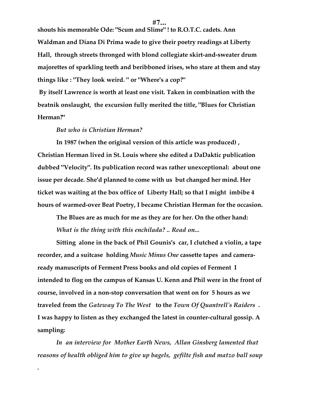**shouts his memorable Ode: "Scum and Slime" ! to R.O.T.C. cadets. Ann Waldman and Diana Di Prima wade to give their poetry readings at Liberty Hall, through streets thronged with blond collegiate skirt-and-sweater drum majorettes of sparkling teeth and beribboned irises, who stare at them and stay things like : "They look weird. " or "Where's a cop?"**

 **By itself Lawrence is worth at least one visit. Taken in combination with the beatnik onslaught, the excursion fully merited the title, "Blues for Christian Herman?"**

#### *But who is Christian Herman?*

*.*

**In 1987 (when the original version of this article was produced) , Christian Herman lived in St. Louis where she edited a DaDaktic publication dubbed "Velocity". Its publication record was rather unexceptional: about one issue per decade. She'd planned to come with us but changed her mind. Her ticket was waiting at the box office of Liberty Hall; so that I might imbibe 4 hours of warmed-over Beat Poetry, I became Christian Herman for the occasion.**

**The Blues are as much for me as they are for her. On the other hand:** *What is the thing with this enchilada? .. Read on...*

**Sitting alone in the back of Phil Gounis's car, I clutched a violin, a tape recorder, and a suitcase holding** *Music Minus One* **cassette tapes and cameraready manuscripts of Ferment Press books and old copies of Ferment I intended to flog on the campus of Kansas U. Kenn and Phil were in the front of course, involved in a non-stop conversation that went on for 5 hours as we traveled from the** *Gateway To The West* **to the** *Town Of Quantrell's Raiders* **. I was happy to listen as they exchanged the latest in counter-cultural gossip. A sampling:**

*In an interview for Mother Earth News, Allan Ginsberg lamented that reasons of health obliged him to give up bagels, gefilte fish and matzo ball soup*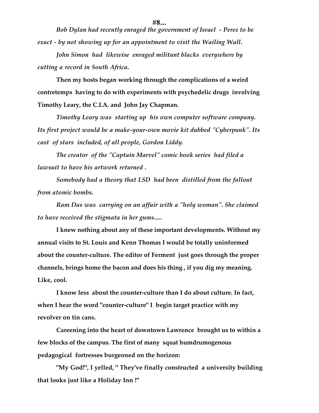**#8...**

*Bob Dylan had recently enraged the government of Israel - Peres to be exact - by not showing up for an appointment to visit the Wailing Wall.*

*John Simon had likewise enraged militant blacks everywhere by cutting a record in South Africa.*

**Then my hosts began working through the complications of a weird contretemps having to do with experiments with psychedelic drugs involving Timothy Leary, the C.I.A. and John Jay Chapman.**

*Timothy Leary was starting up his own computer software company. Its first project would be a make-your-own movie kit dubbed "Cyberpunk". Its cast of stars included, of all people, Gordon Liddy.*

*The creator of the "Captain Marvel" comic book series had filed a lawsuit to have his artwork returned .*

*Somebody had a theory that LSD had been distilled from the fallout from atomic bombs.*

*Ram Das was carrying on an affair with a "holy woman". She claimed to have received the stigmata in her gums.....*

**I knew nothing about any of these important developments. Without my annual visits to St. Louis and Kenn Thomas I would be totally uninformed about the counter-culture. The editor of Ferment just goes through the proper channels, brings home the bacon and does his thing , if you dig my meaning. Like, cool.**

**I know less about the counter-culture than I do about culture. In fact, when I hear the word "counter-culture" I begin target practice with my revolver on tin cans.**

**Careening into the heart of downtown Lawrence brought us to within a few blocks of the campus. The first of many squat humdrumogenous pedagogical fortresses burgeoned on the horizon:**

**"My God!", I yelled, " They've finally constructed a university building that looks just like a Holiday Inn !"**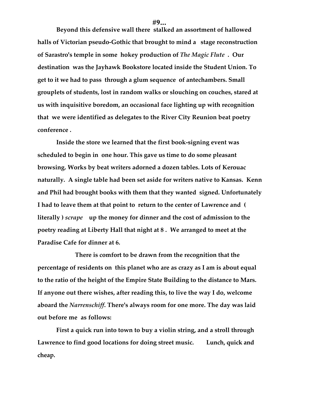**Beyond this defensive wall there stalked an assortment of hallowed halls of Victorian pseudo-Gothic that brought to mind a stage reconstruction of Sarastro's temple in some hokey production of** *The Magic Flute* **. Our destination was the Jayhawk Bookstore located inside the Student Union. To get to it we had to pass through a glum sequence of antechambers. Small grouplets of students, lost in random walks or slouching on couches, stared at us with inquisitive boredom, an occasional face lighting up with recognition that we were identified as delegates to the River City Reunion beat poetry conference .**

**Inside the store we learned that the first book-signing event was scheduled to begin in one hour. This gave us time to do some pleasant browsing. Works by beat writers adorned a dozen tables. Lots of Kerouac naturally. A single table had been set aside for writers native to Kansas. Kenn and Phil had brought books with them that they wanted signed. Unfortunately I had to leave them at that point to return to the center of Lawrence and ( literally )** *scrape* **up the money for dinner and the cost of admission to the poetry reading at Liberty Hall that night at 8 . We arranged to meet at the Paradise Cafe for dinner at 6.** 

**There is comfort to be drawn from the recognition that the percentage of residents on this planet who are as crazy as I am is about equal to the ratio of the height of the Empire State Building to the distance to Mars. If anyone out there wishes, after reading this, to live the way I do, welcome aboard the** *Narrenschiff***. There's always room for one more. The day was laid out before me as follows:**

**First a quick run into town to buy a violin string, and a stroll through Lawrence to find good locations for doing street music. Lunch, quick and cheap.**

**#9...**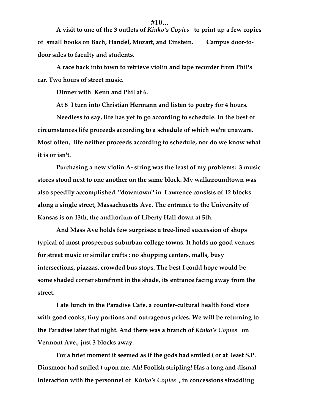#### **#10...**

**A visit to one of the 3 outlets of** *Kinko's Copies* **to print up a few copies of small books on Bach, Handel, Mozart, and Einstein. Campus door-todoor sales to faculty and students.**

**A race back into town to retrieve violin and tape recorder from Phil's car. Two hours of street music.**

**Dinner with Kenn and Phil at 6.**

**At 8 I turn into Christian Hermann and listen to poetry for 4 hours.**

**Needless to say, life has yet to go according to schedule. In the best of circumstances life proceeds according to a schedule of which we're unaware. Most often, life neither proceeds according to schedule, nor do we know what it is or isn't.**

**Purchasing a new violin A- string was the least of my problems: 3 music stores stood next to one another on the same block. My walkaroundtown was also speedily accomplished. "downtown" in Lawrence consists of 12 blocks along a single street, Massachusetts Ave. The entrance to the University of Kansas is on 13th, the auditorium of Liberty Hall down at 5th.**

**And Mass Ave holds few surprises: a tree-lined succession of shops typical of most prosperous suburban college towns. It holds no good venues for street music or similar crafts : no shopping centers, malls, busy intersections, piazzas, crowded bus stops. The best I could hope would be some shaded corner storefront in the shade, its entrance facing away from the street.**

**I ate lunch in the Paradise Cafe, a counter-cultural health food store with good cooks, tiny portions and outrageous prices. We will be returning to the Paradise later that night. And there was a branch of** *Kinko's Copies* **on Vermont Ave., just 3 blocks away.**

**For a brief moment it seemed as if the gods had smiled ( or at least S.P. Dinsmoor had smiled ) upon me. Ah! Foolish stripling! Has a long and dismal interaction with the personnel of** *Kinko's Copies* **, in concessions straddling**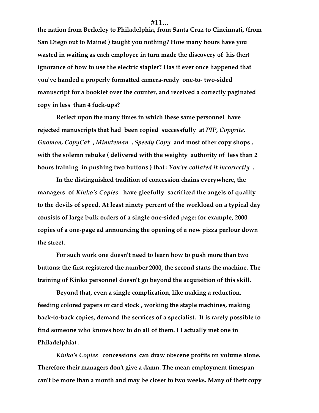**the nation from Berkeley to Philadelphia, from Santa Cruz to Cincinnati, (from San Diego out to Maine! ) taught you nothing? How many hours have you wasted in waiting as each employee in turn made the discovery of his (her) ignorance of how to use the electric stapler? Has it ever once happened that you've handed a properly formatted camera-ready one-to- two-sided manuscript for a booklet over the counter, and received a correctly paginated copy in less than 4 fuck-ups?**

**Reflect upon the many times in which these same personnel have rejected manuscripts that had been copied successfully at** *PIP, Copyrite, Gnomon, CopyCat* **,** *Minuteman* **,** *Speedy Copy* **and most other copy shops , with the solemn rebuke ( delivered with the weighty authority of less than 2 hours training in pushing two buttons ) that :** *You've collated it incorrectly* **.**

**In the distinguished tradition of concession chains everywhere, the managers of** *Kinko's Copies* **have gleefully sacrificed the angels of quality to the devils of speed. At least ninety percent of the workload on a typical day consists of large bulk orders of a single one-sided page: for example, 2000 copies of a one-page ad announcing the opening of a new pizza parlour down the street.**

**For such work one doesn't need to learn how to push more than two buttons: the first registered the number 2000, the second starts the machine. The training of Kinko personnel doesn't go beyond the acquisition of this skill.**

**Beyond that, even a single complication, like making a reduction, feeding colored papers or card stock , working the staple machines, making back-to-back copies, demand the services of a specialist. It is rarely possible to find someone who knows how to do all of them. ( I actually met one in Philadelphia) .**

*Kinko's Copies* **concessions can draw obscene profits on volume alone. Therefore their managers don't give a damn. The mean employment timespan can't be more than a month and may be closer to two weeks. Many of their copy**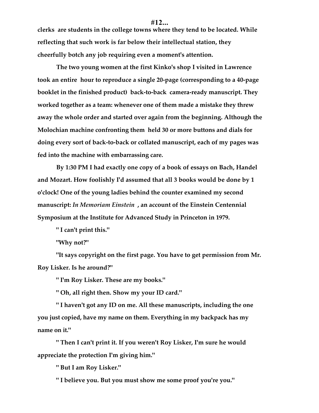**clerks are students in the college towns where they tend to be located. While reflecting that such work is far below their intellectual station, they cheerfully botch any job requiring even a moment's attention.**

**The two young women at the first Kinko's shop I visited in Lawrence took an entire hour to reproduce a single 20-page (corresponding to a 40-page booklet in the finished product) back-to-back camera-ready manuscript. They worked together as a team: whenever one of them made a mistake they threw away the whole order and started over again from the beginning. Although the Molochian machine confronting them held 30 or more buttons and dials for doing every sort of back-to-back or collated manuscript, each of my pages was fed into the machine with embarrassing care.**

**By 1:30 PM I had exactly one copy of a book of essays on Bach, Handel and Mozart. How foolishly I'd assumed that all 3 books would be done by 1 o'clock! One of the young ladies behind the counter examined my second manuscript:** *In Memoriam Einstein* **, an account of the Einstein Centennial Symposium at the Institute for Advanced Study in Princeton in 1979.**

**" I can't print this."**

**"Why not?"**

**"It says copyright on the first page. You have to get permission from Mr. Roy Lisker. Is he around?"**

**" I'm Roy Lisker. These are my books."**

**" Oh, all right then. Show my your ID card."**

**" I haven't got any ID on me. All these manuscripts, including the one you just copied, have my name on them. Everything in my backpack has my name on it."**

**" Then I can't print it. If you weren't Roy Lisker, I'm sure he would appreciate the protection I'm giving him."**

**" But I am Roy Lisker."**

**" I believe you. But you must show me some proof you're you."**

#### **#12...**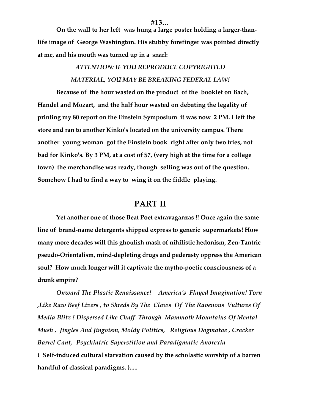**On the wall to her left was hung a large poster holding a larger-thanlife image of George Washington. His stubby forefinger was pointed directly at me, and his mouth was turned up in a snarl:**

# *ATTENTION: IF YOU REPRODUCE COPYRIGHTED MATERIAL, YOU MAY BE BREAKING FEDERAL LAW!*

**Because of the hour wasted on the product of the booklet on Bach, Handel and Mozart, and the half hour wasted on debating the legality of printing my 80 report on the Einstein Symposium it was now 2 PM. I left the store and ran to another Kinko's located on the university campus. There another young woman got the Einstein book right after only two tries, not bad for Kinko's. By 3 PM, at a cost of \$7, (very high at the time for a college town) the merchandise was ready, though selling was out of the question. Somehow I had to find a way to wing it on the fiddle playing.**

# **PART II**

**Yet another one of those Beat Poet extravaganzas !! Once again the same line of brand-name detergents shipped express to generic supermarkets! How many more decades will this ghoulish mash of nihilistic hedonism, Zen-Tantric pseudo-Orientalism, mind-depleting drugs and pederasty oppress the American soul? How much longer will it captivate the mytho-poetic consciousness of a drunk empire?**

*Onward The Plastic Renaissance! America's Flayed Imagination! Torn ,Like Raw Beef Livers , to Shreds By The Claws Of The Ravenous Vultures Of Media Blitz ! Dispersed Like Chaff Through Mammoth Mountains Of Mental Mush , Jingles And Jingoism, Moldy Politics, Religious Dogmatae , Cracker Barrel Cant, Psychiatric Superstition and Paradigmatic Anorexia* **( Self-induced cultural starvation caused by the scholastic worship of a barren handful of classical paradigms. ).....**

#### **#13...**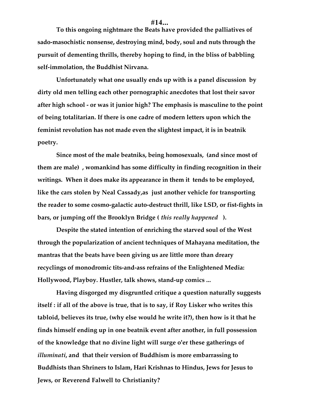## **#14...**

**To this ongoing nightmare the Beats have provided the palliatives of sado-masochistic nonsense, destroying mind, body, soul and nuts through the pursuit of dementing thrills, thereby hoping to find, in the bliss of babbling self-immolation, the Buddhist Nirvana.**

**Unfortunately what one usually ends up with is a panel discussion by dirty old men telling each other pornographic anecdotes that lost their savor after high school - or was it junior high? The emphasis is masculine to the point of being totalitarian. If there is one cadre of modern letters upon which the feminist revolution has not made even the slightest impact, it is in beatnik poetry.**

**Since most of the male beatniks, being homosexuals, (and since most of them are male) , womankind has some difficulty in finding recognition in their writings. When it does make its appearance in them it tends to be employed, like the cars stolen by Neal Cassady,as just another vehicle for transporting the reader to some cosmo-galactic auto-destruct thrill, like LSD, or fist-fights in bars, or jumping off the Brooklyn Bridge (** *this really happened* **).**

**Despite the stated intention of enriching the starved soul of the West through the popularization of ancient techniques of Mahayana meditation, the mantras that the beats have been giving us are little more than dreary recyclings of monodromic tits-and-ass refrains of the Enlightened Media: Hollywood, Playboy. Hustler, talk shows, stand-up comics ...**

**Having disgorged my disgruntled critique a question naturally suggests itself : if all of the above is true, that is to say, if Roy Lisker who writes this tabloid, believes its true, (why else would he write it?), then how is it that he finds himself ending up in one beatnik event after another, in full possession of the knowledge that no divine light will surge o'er these gatherings of** *illuminati***, and that their version of Buddhism is more embarrassing to Buddhists than Shriners to Islam, Hari Krishnas to Hindus, Jews for Jesus to Jews, or Reverend Falwell to Christianity?**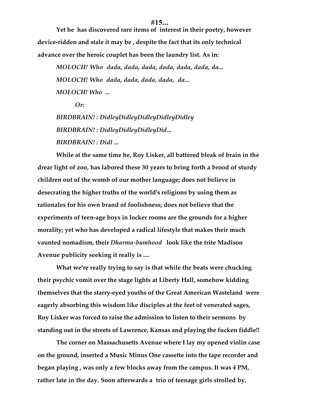## **#15...**

**Yet he has discovered rare items of interest in their poetry, however device-ridden and stale it may be , despite the fact that its only technical advance over the heroic couplet has been the laundry list. As in:**

*MOLOCH! Who dada, dada, dada, dada, dada, dada, da... MOLOCH! Who dada, dada, dada, dada, da... MOLOCH! Who ...*

*Or:*

*BIRDBRAIN! : DidleyDidleyDidleyDidleyDidley BIRDBRAIN! : DidleyDidleyDidleyDid... BIRDBRAIN! : Didl ...*

**While at the same time he, Roy Lisker, all battered bleak of brain in the drear light of zoo, has labored these 30 years to bring forth a brood of sturdy children out of the womb of our mother language; does not believe in desecrating the higher truths of the world's religions by using them as rationales for his own brand of foolishness; does not believe that the experiments of teen-age boys in locker rooms are the grounds for a higher morality; yet who has developed a radical lifestyle that makes their much vaunted nomadism, their** *Dharma-bumhood* **look like the trite Madison Avenue publicity seeking it really is ....**

**What we're really trying to say is that while the beats were chucking their psychic vomit over the stage lights at Liberty Hall, somehow kidding themselves that the starry-eyed youths of the Great American Wasteland were eagerly absorbing this wisdom like disciples at the feet of venerated sages, Roy Lisker was forced to raise the admission to listen to their sermons by standing out in the streets of Lawrence, Kansas and playing the fucken fiddle!!**

**The corner on Massachusetts Avenue where I lay my opened violin case on the ground, inserted a Music Minus One cassette into the tape recorder and began playing , was only a few blocks away from the campus. It was 4 PM, rather late in the day. Soon afterwards a trio of teenage girls strolled by,**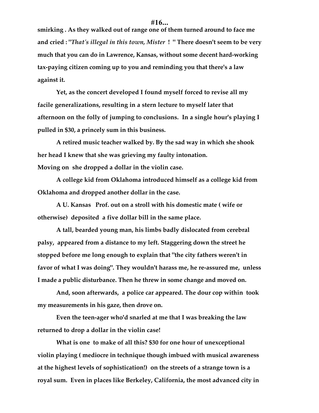**smirking . As they walked out of range one of them turned around to face me and cried : "***That's illegal in this town, Mister* **! " There doesn't seem to be very much that you can do in Lawrence, Kansas, without some decent hard-working tax-paying citizen coming up to you and reminding you that there's a law against it.**

**Yet, as the concert developed I found myself forced to revise all my facile generalizations, resulting in a stern lecture to myself later that afternoon on the folly of jumping to conclusions. In a single hour's playing I pulled in \$30, a princely sum in this business.**

**A retired music teacher walked by. By the sad way in which she shook her head I knew that she was grieving my faulty intonation. Moving on she dropped a dollar in the violin case.**

**A college kid from Oklahoma introduced himself as a college kid from Oklahoma and dropped another dollar in the case.**

**A U. Kansas Prof. out on a stroll with his domestic mate ( wife or otherwise) deposited a five dollar bill in the same place.**

**A tall, bearded young man, his limbs badly dislocated from cerebral palsy, appeared from a distance to my left. Staggering down the street he stopped before me long enough to explain that "the city fathers weren't in favor of what I was doing". They wouldn't harass me, he re-assured me, unless I made a public disturbance. Then he threw in some change and moved on.**

**And, soon afterwards, a police car appeared. The dour cop within took my measurements in his gaze, then drove on.**

**Even the teen-ager who'd snarled at me that I was breaking the law returned to drop a dollar in the violin case!**

**What is one to make of all this? \$30 for one hour of unexceptional violin playing ( mediocre in technique though imbued with musical awareness at the highest levels of sophistication!) on the streets of a strange town is a royal sum. Even in places like Berkeley, California, the most advanced city in**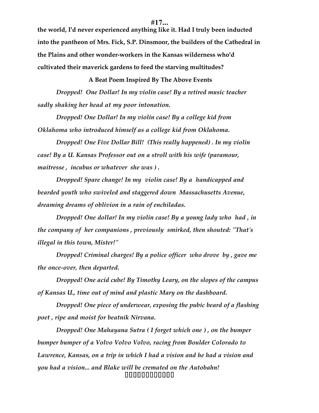**the world, I'd never experienced anything like it. Had I truly been inducted into the pantheon of Mrs. Fick, S.P. Dinsmoor, the builders of the Cathedral in the Plains and other wonder-workers in the Kansas wilderness who'd cultivated their maverick gardens to feed the starving multitudes?**

**A Beat Poem Inspired By The Above Events**

*Dropped! One Dollar! In my violin case! By a retired music teacher sadly shaking her head at my poor intonation.*

*Dropped! One Dollar! In my violin case! By a college kid from Oklahoma who introduced himself as a college kid from Oklahoma.*

*Dropped! One Five Dollar Bill! (This really happened) . In my violin case! By a U. Kansas Professor out on a stroll with his wife (paramour, maitresse , incubus or whatever she was ) .*

*Dropped! Spare change! In my violin case! By a handicapped and bearded youth who swiveled and staggered down Massachusetts Avenue, dreaming dreams of oblivion in a rain of enchiladas.*

*Dropped! One dollar! In my violin case! By a young lady who had , in the company of her companions , previously smirked, then shouted: "That's illegal in this town, Mister!"*

*Dropped! Criminal charges! By a police officer who drove by , gave me the once-over, then departed.*

*Dropped! One acid cube! By Timothy Leary, on the slopes of the campus of Kansas U., time out of mind and plastic Mary on the dashboard.*

*Dropped! One piece of underwear, exposing the pubic beard of a flashing poet , ripe and moist for beatnik Nirvana.*

*Dropped! One Mahayana Sutra ( I forget which one ) , on the bumper bumper bumper of a Volvo Volvo Volvo, racing from Boulder Colorado to Lawrence, Kansas, on a trip in which I had a vision and he had a vision and you had a vision... and Blake will be cremated on the Autobahn!* ffffffffffff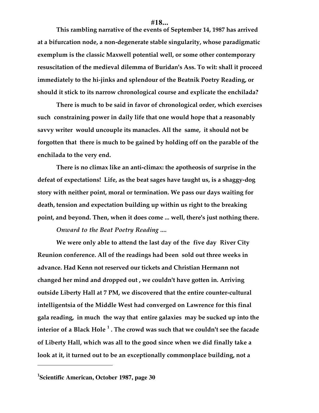## **#18...**

**This rambling narrative of the events of September 14, 1987 has arrived at a bifurcation node, a non-degenerate stable singularity, whose paradigmatic exemplum is the classic Maxwell potential well, or some other contemporary resuscitation of the medieval dilemma of Buridan's Ass. To wit: shall it proceed immediately to the hi-jinks and splendour of the Beatnik Poetry Reading, or should it stick to its narrow chronological course and explicate the enchilada?**

**There is much to be said in favor of chronological order, which exercises such constraining power in daily life that one would hope that a reasonably savvy writer would uncouple its manacles. All the same, it should not be forgotten that there is much to be gained by holding off on the parable of the enchilada to the very end.**

**There is no climax like an anti-climax: the apotheosis of surprise in the defeat of expectations! Life, as the beat sages have taught us, is a shaggy-dog story with neither point, moral or termination. We pass our days waiting for death, tension and expectation building up within us right to the breaking point, and beyond. Then, when it does come ... well, there's just nothing there.**

*Onward to the Beat Poetry Reading ....*

**We were only able to attend the last day of the five day River City Reunion conference. All of the readings had been sold out three weeks in advance. Had Kenn not reserved our tickets and Christian Hermann not changed her mind and dropped out , we couldn't have gotten in. Arriving outside Liberty Hall at 7 PM, we discovered that the entire counter-cultural intelligentsia of the Middle West had converged on Lawrence for this final gala reading, in much the way that entire galaxies may be sucked up into the interior of a Black Hole <sup>1</sup> . The crowd was such that we couldn't see the facade of Liberty Hall, which was all to the good since when we did finally take a look at it, it turned out to be an exceptionally commonplace building, not a**

 $\overline{a}$ 

**<sup>1</sup> Scientific American, October 1987, page 30**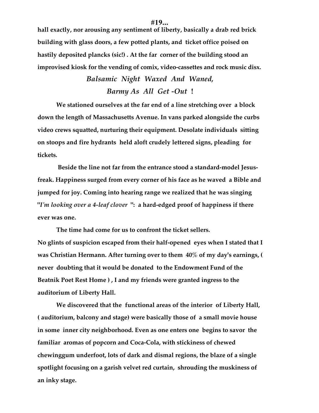**hall exactly, nor arousing any sentiment of liberty, basically a drab red brick building with glass doors, a few potted plants, and ticket office poised on hastily deposited plancks (sic!) . At the far corner of the building stood an improvised kiosk for the vending of comix, video-cassettes and rock music disx.**

# *Balsamic Night Waxed And Waned, Barmy As All Get -Out* **!**

**We stationed ourselves at the far end of a line stretching over a block down the length of Massachusetts Avenue. In vans parked alongside the curbs video crews squatted, nurturing their equipment. Desolate individuals sitting on stoops and fire hydrants held aloft crudely lettered signs, pleading for tickets.**

 **Beside the line not far from the entrance stood a standard-model Jesusfreak. Happiness surged from every corner of his face as he waved a Bible and jumped for joy. Coming into hearing range we realized that he was singing "***I'm looking over a 4-leaf clover* **": a hard-edged proof of happiness if there ever was one.**

**The time had come for us to confront the ticket sellers. No glints of suspicion escaped from their half-opened eyes when I stated that I was Christian Hermann. After turning over to them 40% of my day's earnings, ( never doubting that it would be donated to the Endowment Fund of the Beatnik Poet Rest Home ) , I and my friends were granted ingress to the auditorium of Liberty Hall.**

**We discovered that the functional areas of the interior of Liberty Hall, ( auditorium, balcony and stage) were basically those of a small movie house in some inner city neighborhood. Even as one enters one begins to savor the familiar aromas of popcorn and Coca-Cola, with stickiness of chewed chewinggum underfoot, lots of dark and dismal regions, the blaze of a single spotlight focusing on a garish velvet red curtain, shrouding the muskiness of an inky stage.**

### **#19...**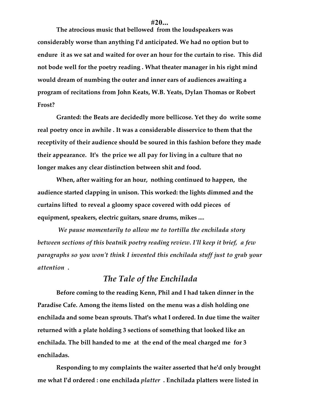#### **#20...**

**The atrocious music that bellowed from the loudspeakers was considerably worse than anything I'd anticipated. We had no option but to endure it as we sat and waited for over an hour for the curtain to rise. This did not bode well for the poetry reading . What theater manager in his right mind would dream of numbing the outer and inner ears of audiences awaiting a program of recitations from John Keats, W.B. Yeats, Dylan Thomas or Robert Frost?**

**Granted: the Beats are decidedly more bellicose. Yet they do write some real poetry once in awhile . It was a considerable disservice to them that the receptivity of their audience should be soured in this fashion before they made their appearance. It's the price we all pay for living in a culture that no longer makes any clear distinction between shit and food.**

**When, after waiting for an hour, nothing continued to happen, the audience started clapping in unison. This worked: the lights dimmed and the curtains lifted to reveal a gloomy space covered with odd pieces of equipment, speakers, electric guitars, snare drums, mikes ....**

*We pause momentarily to allow me to tortilla the enchilada story between sections of this beatnik poetry reading review. I'll keep it brief, a few paragraphs so you won't think I invented this enchilada stuff just to grab your attention* **.**

# *The Tale of the Enchilada*

**Before coming to the reading Kenn, Phil and I had taken dinner in the Paradise Cafe. Among the items listed on the menu was a dish holding one enchilada and some bean sprouts. That's what I ordered. In due time the waiter returned with a plate holding 3 sections of something that looked like an enchilada. The bill handed to me at the end of the meal charged me for 3 enchiladas.**

**Responding to my complaints the waiter asserted that he'd only brought me what I'd ordered : one enchilada** *platter* **. Enchilada platters were listed in**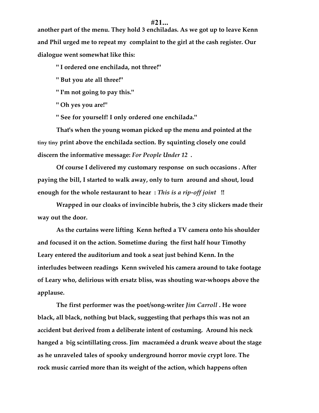**another part of the menu. They hold 3 enchiladas. As we got up to leave Kenn and Phil urged me to repeat my complaint to the girl at the cash register. Our dialogue went somewhat like this:**

**" I ordered one enchilada, not three!"**

**" But you ate all three!"**

**" I'm not going to pay this."**

**" Oh yes you are!"**

**" See for yourself! I only ordered one enchilada."**

**That's when the young woman picked up the menu and pointed at the tiny tiny print above the enchilada section. By squinting closely one could discern the informative message:** *For People Under 12* **.**

**Of course I delivered my customary response on such occasions . After paying the bill, I started to walk away, only to turn around and shout, loud enough for the whole restaurant to hear :** *This is a rip-off joint* **!!**

**Wrapped in our cloaks of invincible hubris, the 3 city slickers made their way out the door.**

**As the curtains were lifting Kenn hefted a TV camera onto his shoulder and focused it on the action. Sometime during the first half hour Timothy Leary entered the auditorium and took a seat just behind Kenn. In the interludes between readings Kenn swiveled his camera around to take footage of Leary who, delirious with ersatz bliss, was shouting war-whoops above the applause.**

**The first performer was the poet/song-writer** *Jim Carroll* **. He wore black, all black, nothing but black, suggesting that perhaps this was not an accident but derived from a deliberate intent of costuming. Around his neck hanged a big scintillating cross. Jim macraméed a drunk weave about the stage as he unraveled tales of spooky underground horror movie crypt lore. The rock music carried more than its weight of the action, which happens often**

# **#21...**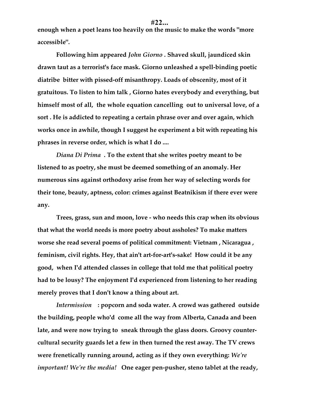**enough when a poet leans too heavily on the music to make the words "more accessible".**

**Following him appeared** *John Giorno* **. Shaved skull, jaundiced skin drawn taut as a terrorist's face mask. Giorno unleashed a spell-binding poetic diatribe bitter with pissed-off misanthropy. Loads of obscenity, most of it gratuitous. To listen to him talk , Giorno hates everybody and everything, but himself most of all, the whole equation cancelling out to universal love, of a sort . He is addicted to repeating a certain phrase over and over again, which works once in awhile, though I suggest he experiment a bit with repeating his phrases in reverse order, which is what I do ....**

*Diana Di Prima* **. To the extent that she writes poetry meant to be listened to as poetry, she must be deemed something of an anomaly. Her numerous sins against orthodoxy arise from her way of selecting words for their tone, beauty, aptness, color: crimes against Beatnikism if there ever were any.**

**Trees, grass, sun and moon, love - who needs this crap when its obvious that what the world needs is more poetry about assholes? To make matters worse she read several poems of political commitment: Vietnam , Nicaragua , feminism, civil rights. Hey, that ain't art-for-art's-sake! How could it be any good, when I'd attended classes in college that told me that political poetry had to be lousy? The enjoyment I'd experienced from listening to her reading merely proves that I don't know a thing about art.**

*Intermission* **: popcorn and soda water. A crowd was gathered outside the building, people who'd come all the way from Alberta, Canada and been late, and were now trying to sneak through the glass doors. Groovy countercultural security guards let a few in then turned the rest away. The TV crews were frenetically running around, acting as if they own everything:** *We're important! We're the media!* **One eager pen-pusher, steno tablet at the ready,**

**#22...**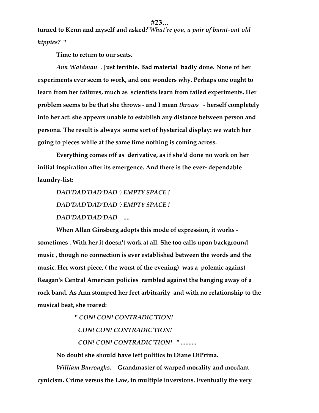**turned to Kenn and myself and asked:"***What're you, a pair of burnt-out old hippies?* **"** 

**Time to return to our seats.**

*Ann Waldman* **. Just terrible. Bad material badly done. None of her experiments ever seem to work, and one wonders why. Perhaps one ought to learn from her failures, much as scientists learn from failed experiments. Her problem seems to be that she throws - and I mean** *throws* **- herself completely into her act: she appears unable to establish any distance between person and persona. The result is always some sort of hysterical display: we watch her going to pieces while at the same time nothing is coming across.**

**Everything comes off as derivative, as if she'd done no work on her initial inspiration after its emergence. And there is the ever- dependable laundry-list:**

*DAD'DAD'DAD'DAD ': EMPTY SPACE ! DAD'DAD'DAD'DAD ': EMPTY SPACE ! DAD'DAD'DAD'DAD* **....**

**When Allan Ginsberg adopts this mode of expression, it works sometimes . With her it doesn't work at all. She too calls upon background music , though no connection is ever established between the words and the music. Her worst piece, ( the worst of the evening) was a polemic against Reagan's Central American policies rambled against the banging away of a rock band. As Ann stomped her feet arbitrarily and with no relationship to the musical beat, she roared:**

> **"** *CON! CON! CONTRADIC'TION! CON! CON! CONTRADIC'TION!*

 *CON! CON! CONTRADIC'TION!* **" ..........**

**No doubt she should have left politics to Diane DiPrima.**

*William Burroughs.* **Grandmaster of warped morality and mordant cynicism. Crime versus the Law, in multiple inversions. Eventually the very**

#### **#23...**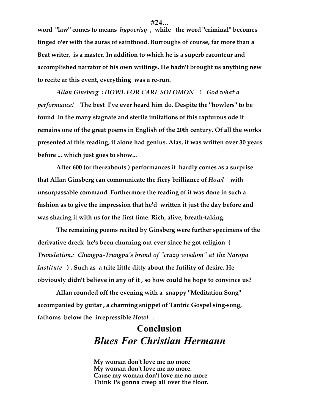**#24... word "law" comes to means** *hypocrisy* **, while the word "criminal" becomes**

**tinged o'er with the auras of sainthood. Burroughs of course, far more than a Beat writer, is a master. In addition to which he is a superb raconteur and accomplished narrator of his own writings. He hadn't brought us anything new to recite ar this event, everything was a re-run.**

*Allan Ginsberg* **:** *HOWL FOR CARL SOLOMON* **!** *God what a performance!* **The best I've ever heard him do. Despite the "howlers" to be found in the many stagnate and sterile imitations of this rapturous ode it remains one of the great poems in English of the 20th century. Of all the works presented at this reading, it alone had genius. Alas, it was written over 30 years before ... which just goes to show...**

**After 600 (or thereabouts ) performances it hardly comes as a surprise that Allan Ginsberg can communicate the fiery brilliance of** *Howl* **with unsurpassable command. Furthermore the reading of it was done in such a fashion as to give the impression that he'd written it just the day before and was sharing it with us for the first time. Rich, alive, breath-taking.**

**The remaining poems recited by Ginsberg were further specimens of the derivative dreck he's been churning out ever since he got religion (** *Translation,: Chungpa-Trungpa's brand of "crazy wisdom" at the Naropa Institute* **) . Such as a trite little ditty about the futility of desire. He obviously didn't believe in any of it , so how could he hope to convince us?**

**Allan rounded off the evening with a snappy "Meditation Song" accompanied by guitar , a charming snippet of Tantric Gospel sing-song, fathoms below the irrepressible** *Howl* **.**

# **Conclusion** *Blues For Christian Hermann*

**My woman don't love me no more My woman don't love me no more. Cause my woman don't love me no more Think I's gonna creep all over the floor.**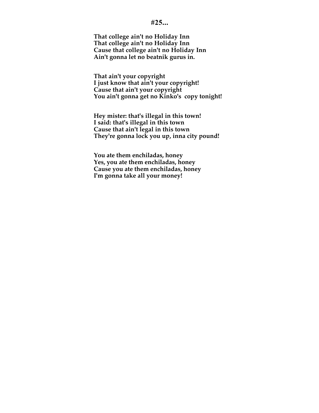## **#25...**

**That college ain't no Holiday Inn That college ain't no Holiday Inn Cause that college ain't no Holiday Inn Ain't gonna let no beatnik gurus in.**

**That ain't your copyright I just know that ain't your copyright! Cause that ain't your copyright You ain't gonna get no Kinko's copy tonight!**

**Hey mister: that's illegal in this town! I said: that's illegal in this town Cause that ain't legal in this town They're gonna lock you up, inna city pound!**

**You ate them enchiladas, honey Yes, you ate them enchiladas, honey Cause you ate them enchiladas, honey I'm gonna take all your money!**